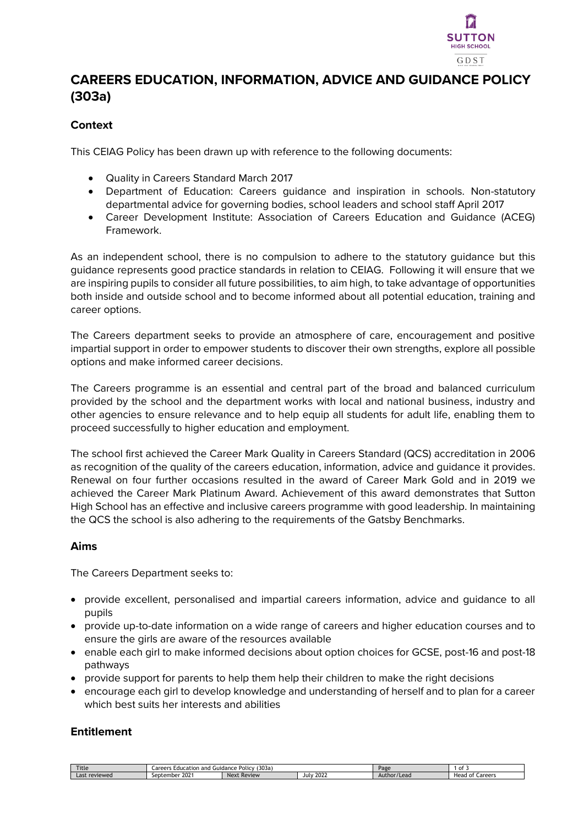

# **CAREERS EDUCATION, INFORMATION, ADVICE AND GUIDANCE POLICY (303a)**

# **Context**

This CEIAG Policy has been drawn up with reference to the following documents:

- Quality in Careers Standard March 2017
- Department of Education: Careers guidance and inspiration in schools. Non-statutory departmental advice for governing bodies, school leaders and school staff April 2017
- Career Development Institute: Association of Careers Education and Guidance (ACEG) Framework.

As an independent school, there is no compulsion to adhere to the statutory guidance but this guidance represents good practice standards in relation to CEIAG. Following it will ensure that we are inspiring pupils to consider all future possibilities, to aim high, to take advantage of opportunities both inside and outside school and to become informed about all potential education, training and career options.

The Careers department seeks to provide an atmosphere of care, encouragement and positive impartial support in order to empower students to discover their own strengths, explore all possible options and make informed career decisions.

The Careers programme is an essential and central part of the broad and balanced curriculum provided by the school and the department works with local and national business, industry and other agencies to ensure relevance and to help equip all students for adult life, enabling them to proceed successfully to higher education and employment.

The school first achieved the Career Mark Quality in Careers Standard (QCS) accreditation in 2006 as recognition of the quality of the careers education, information, advice and guidance it provides. Renewal on four further occasions resulted in the award of Career Mark Gold and in 2019 we achieved the Career Mark Platinum Award. Achievement of this award demonstrates that Sutton High School has an effective and inclusive careers programme with good leadership. In maintaining the QCS the school is also adhering to the requirements of the Gatsby Benchmarks.

#### **Aims**

The Careers Department seeks to:

- provide excellent, personalised and impartial careers information, advice and guidance to all pupils
- provide up-to-date information on a wide range of careers and higher education courses and to ensure the girls are aware of the resources available
- enable each girl to make informed decisions about option choices for GCSE, post-16 and post-18 pathways
- provide support for parents to help them help their children to make the right decisions
- encourage each girl to develop knowledge and understanding of herself and to plan for a career which best suits her interests and abilities

#### **Entitlement**

| <b>Title</b>               | 303a<br>. .<br>and<br><b>Policy</b><br>are<br>lucation<br>Guidance<br>- 2<br>.<br>- - - |                    |               | Page                        | 0t                                   |
|----------------------------|-----------------------------------------------------------------------------------------|--------------------|---------------|-----------------------------|--------------------------------------|
| $- -1$<br>reviewed<br>17 H | $202 -$<br>September                                                                    | <b>Next Review</b> | 2022<br>-July | $r/\sqrt{2}$<br>Author/Lead | Careers<br>⊔∼<br>neau.<br>$^{\circ}$ |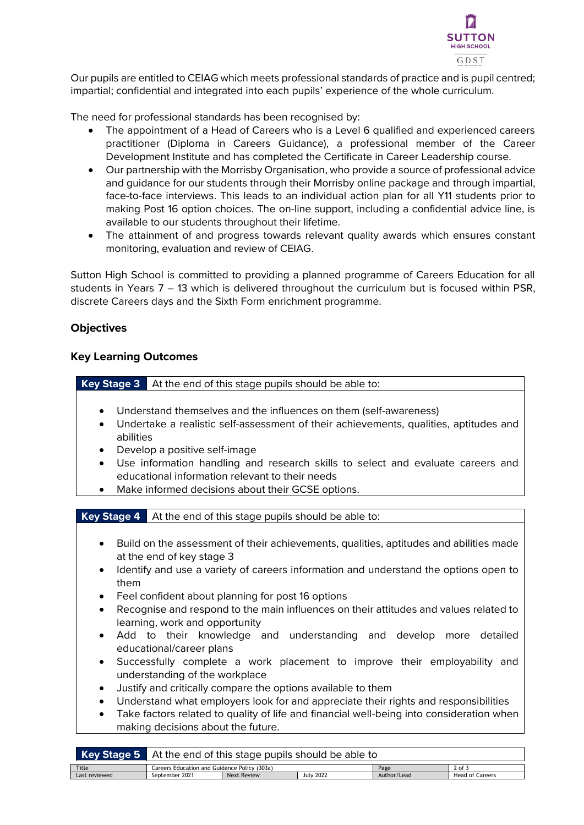

Our pupils are entitled to CEIAG which meets professional standards of practice and is pupil centred; impartial; confidential and integrated into each pupils' experience of the whole curriculum.

The need for professional standards has been recognised by:

- The appointment of a Head of Careers who is a Level 6 qualified and experienced careers practitioner (Diploma in Careers Guidance), a professional member of the Career Development Institute and has completed the Certificate in Career Leadership course.
- Our partnership with the Morrisby Organisation, who provide a source of professional advice and guidance for our students through their Morrisby online package and through impartial, face-to-face interviews. This leads to an individual action plan for all Y11 students prior to making Post 16 option choices. The on-line support, including a confidential advice line, is available to our students throughout their lifetime.
- The attainment of and progress towards relevant quality awards which ensures constant monitoring, evaluation and review of CEIAG.

Sutton High School is committed to providing a planned programme of Careers Education for all students in Years 7 – 13 which is delivered throughout the curriculum but is focused within PSR, discrete Careers days and the Sixth Form enrichment programme.

## **Objectives**

#### **Key Learning Outcomes**

**Key Stage 3** At the end of this stage pupils should be able to:

- Understand themselves and the influences on them (self-awareness)
- Undertake a realistic self-assessment of their achievements, qualities, aptitudes and abilities
- Develop a positive self-image
- Use information handling and research skills to select and evaluate careers and educational information relevant to their needs
- Make informed decisions about their GCSE options.

**Key Stage 4** At the end of this stage pupils should be able to:

- Build on the assessment of their achievements, qualities, aptitudes and abilities made at the end of key stage 3
- Identify and use a variety of careers information and understand the options open to them
- Feel confident about planning for post 16 options
- Recognise and respond to the main influences on their attitudes and values related to learning, work and opportunity
- Add to their knowledge and understanding and develop more detailed educational/career plans
- Successfully complete a work placement to improve their employability and understanding of the workplace
- Justify and critically compare the options available to them
- Understand what employers look for and appreciate their rights and responsibilities
- Take factors related to quality of life and financial well-being into consideration when making decisions about the future.

| Key Stage 5   | . At the end of this stage pupils should be able to          |             |                  |             |                        |  |
|---------------|--------------------------------------------------------------|-------------|------------------|-------------|------------------------|--|
| Title         | Careers Education and Guidance Policy (303a)<br>2 of<br>Page |             |                  |             |                        |  |
| Last reviewed | September 2021                                               | Next Review | <b>July 2022</b> | Author/Lead | <b>Head of Careers</b> |  |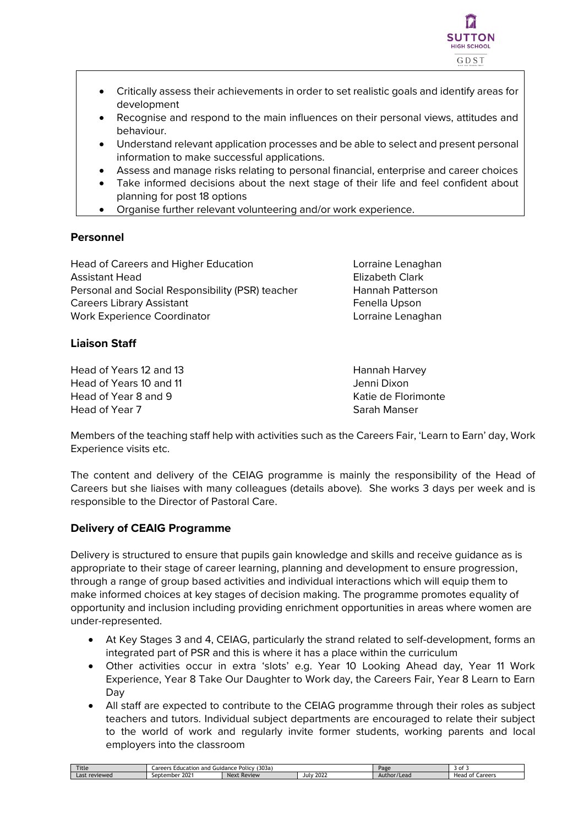

- Critically assess their achievements in order to set realistic goals and identify areas for development
- Recognise and respond to the main influences on their personal views, attitudes and behaviour.
- Understand relevant application processes and be able to select and present personal information to make successful applications.
- Assess and manage risks relating to personal financial, enterprise and career choices
- Take informed decisions about the next stage of their life and feel confident about planning for post 18 options
- Organise further relevant volunteering and/or work experience.

## **Personnel**

Head of Careers and Higher Education **Lorraine Lenaghan** Assistant Head **Elizabeth Clark** Personal and Social Responsibility (PSR) teacher Hannah Patterson Careers Library Assistant **Fenella Upson** Work Experience Coordinator Lorraine Lenaghan

# **Liaison Staff**

Head of Years 12 and 13 Hannah Harvey Head of Years 10 and 11 **Jenni Dixon** Head of Year 8 and 9 Katie de Florimonte Head of Year 7 Sarah Manser

Members of the teaching staff help with activities such as the Careers Fair, 'Learn to Earn' day, Work Experience visits etc.

The content and delivery of the CEIAG programme is mainly the responsibility of the Head of Careers but she liaises with many colleagues (details above). She works 3 days per week and is responsible to the Director of Pastoral Care.

# **Delivery of CEAIG Programme**

Delivery is structured to ensure that pupils gain knowledge and skills and receive guidance as is appropriate to their stage of career learning, planning and development to ensure progression, through a range of group based activities and individual interactions which will equip them to make informed choices at key stages of decision making. The programme promotes equality of opportunity and inclusion including providing enrichment opportunities in areas where women are under-represented.

- At Key Stages 3 and 4, CEIAG, particularly the strand related to self-development, forms an integrated part of PSR and this is where it has a place within the curriculum
- Other activities occur in extra 'slots' e.g. Year 10 Looking Ahead day, Year 11 Work Experience, Year 8 Take Our Daughter to Work day, the Careers Fair, Year 8 Learn to Earn Day
- All staff are expected to contribute to the CEIAG programme through their roles as subject teachers and tutors. Individual subject departments are encouraged to relate their subject to the world of work and regularly invite former students, working parents and local employers into the classroom

| Title            | $\sim$ $\sim$ $\sim$<br>(303a)<br>.areers<br>: Policy<br>Education<br>and<br>Guidance |                  |                     | Page             | $\sim$<br>וש             |
|------------------|---------------------------------------------------------------------------------------|------------------|---------------------|------------------|--------------------------|
| reviewed<br>Last | 2021<br>september                                                                     | : Review<br>Next | 200<br>July<br>2022 | r/Lead<br>Author | Careers<br>Heag<br>1 O.T |
|                  |                                                                                       |                  |                     |                  |                          |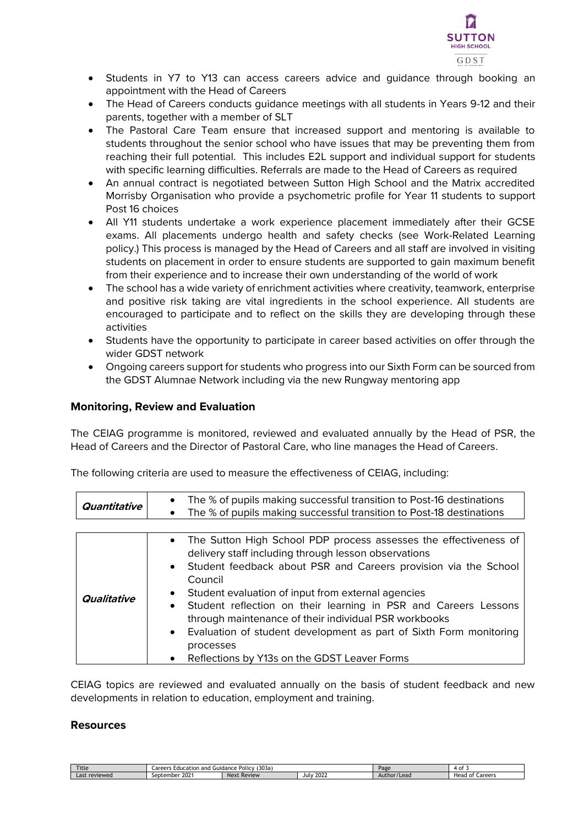

- Students in Y7 to Y13 can access careers advice and guidance through booking an appointment with the Head of Careers
- The Head of Careers conducts quidance meetings with all students in Years 9-12 and their parents, together with a member of SLT
- The Pastoral Care Team ensure that increased support and mentoring is available to students throughout the senior school who have issues that may be preventing them from reaching their full potential. This includes E2L support and individual support for students with specific learning difficulties. Referrals are made to the Head of Careers as required
- An annual contract is negotiated between Sutton High School and the Matrix accredited Morrisby Organisation who provide a psychometric profile for Year 11 students to support Post 16 choices
- All Y11 students undertake a work experience placement immediately after their GCSE exams. All placements undergo health and safety checks (see Work-Related Learning policy.) This process is managed by the Head of Careers and all staff are involved in visiting students on placement in order to ensure students are supported to gain maximum benefit from their experience and to increase their own understanding of the world of work
- The school has a wide variety of enrichment activities where creativity, teamwork, enterprise and positive risk taking are vital ingredients in the school experience. All students are encouraged to participate and to reflect on the skills they are developing through these activities
- Students have the opportunity to participate in career based activities on offer through the wider GDST network
- Ongoing careers support for students who progress into our Sixth Form can be sourced from the GDST Alumnae Network including via the new Rungway mentoring app

#### **Monitoring, Review and Evaluation**

The CEIAG programme is monitored, reviewed and evaluated annually by the Head of PSR, the Head of Careers and the Director of Pastoral Care, who line manages the Head of Careers.

| Quantitative | The % of pupils making successful transition to Post-16 destinations<br>$\bullet$<br>The % of pupils making successful transition to Post-18 destinations<br>$\bullet$                                                                                                                                                                                                                                                                                                                                                                                                                                    |
|--------------|-----------------------------------------------------------------------------------------------------------------------------------------------------------------------------------------------------------------------------------------------------------------------------------------------------------------------------------------------------------------------------------------------------------------------------------------------------------------------------------------------------------------------------------------------------------------------------------------------------------|
|              |                                                                                                                                                                                                                                                                                                                                                                                                                                                                                                                                                                                                           |
| Qualitative  | The Sutton High School PDP process assesses the effectiveness of<br>$\bullet$<br>delivery staff including through lesson observations<br>Student feedback about PSR and Careers provision via the School<br>$\bullet$<br>Council<br>Student evaluation of input from external agencies<br>$\bullet$<br>Student reflection on their learning in PSR and Careers Lessons<br>$\bullet$<br>through maintenance of their individual PSR workbooks<br>Evaluation of student development as part of Sixth Form monitoring<br>$\bullet$<br>processes<br>Reflections by Y13s on the GDST Leaver Forms<br>$\bullet$ |

The following criteria are used to measure the effectiveness of CEIAG, including:

CEIAG topics are reviewed and evaluated annually on the basis of student feedback and new developments in relation to education, employment and training.

#### **Resources**

| Title            | (303a)<br>Policy<br>-ducation<br>ı and<br>Guidance |                |              | Page        | Ωt                                             |
|------------------|----------------------------------------------------|----------------|--------------|-------------|------------------------------------------------|
| _ast<br>reviewed | 202<br>$\sim$ $\sim$<br>ember<br>JCD.              | Review<br>Next | 2022<br>Jul∨ | Author/Lead | 2500<br>⊔∼<br>---<br>w<br>$-$ die<br>⊓eau<br>. |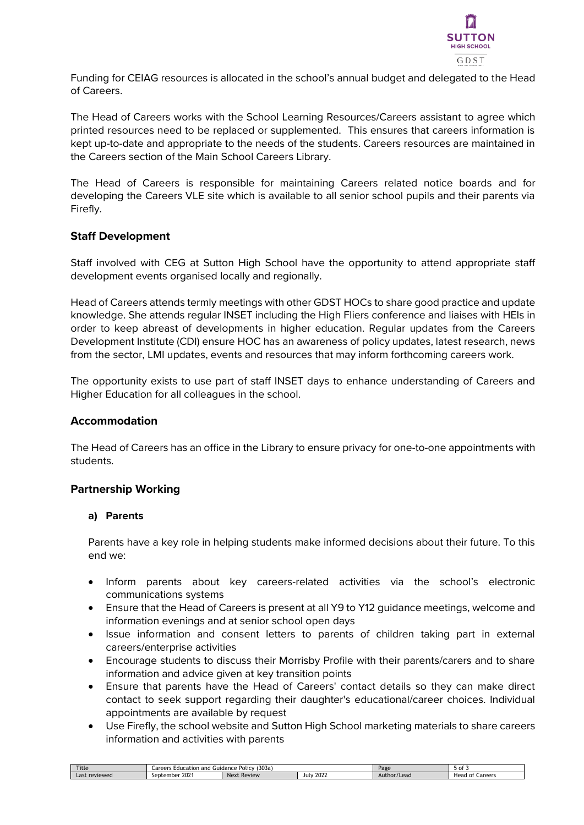

Funding for CEIAG resources is allocated in the school's annual budget and delegated to the Head of Careers.

The Head of Careers works with the School Learning Resources/Careers assistant to agree which printed resources need to be replaced or supplemented. This ensures that careers information is kept up-to-date and appropriate to the needs of the students. Careers resources are maintained in the Careers section of the Main School Careers Library.

The Head of Careers is responsible for maintaining Careers related notice boards and for developing the Careers VLE site which is available to all senior school pupils and their parents via Firefly.

## **Staff Development**

Staff involved with CEG at Sutton High School have the opportunity to attend appropriate staff development events organised locally and regionally.

Head of Careers attends termly meetings with other GDST HOCs to share good practice and update knowledge. She attends regular INSET including the High Fliers conference and liaises with HEIs in order to keep abreast of developments in higher education. Regular updates from the Careers Development Institute (CDI) ensure HOC has an awareness of policy updates, latest research, news from the sector, LMI updates, events and resources that may inform forthcoming careers work.

The opportunity exists to use part of staff INSET days to enhance understanding of Careers and Higher Education for all colleagues in the school.

#### **Accommodation**

The Head of Careers has an office in the Library to ensure privacy for one-to-one appointments with students.

#### **Partnership Working**

#### **a) Parents**

Parents have a key role in helping students make informed decisions about their future. To this end we:

- Inform parents about key careers-related activities via the school's electronic communications systems
- Ensure that the Head of Careers is present at all Y9 to Y12 guidance meetings, welcome and information evenings and at senior school open days
- Issue information and consent letters to parents of children taking part in external careers/enterprise activities
- Encourage students to discuss their Morrisby Profile with their parents/carers and to share information and advice given at key transition points
- Ensure that parents have the Head of Careers' contact details so they can make direct contact to seek support regarding their daughter's educational/career choices. Individual appointments are available by request
- Use Firefly, the school website and Sutton High School marketing materials to share careers information and activities with parents

| <b>Title</b>                 | (303a<br>$D$ olic<br>and<br>Lareerr<br><b>Education</b><br>Guidance<br>г от п |                |                     | Page                    | .                                 |
|------------------------------|-------------------------------------------------------------------------------|----------------|---------------------|-------------------------|-----------------------------------|
| $\sim$<br>: reviewed<br>Last | 202<br>september<br><b>ZUZ</b>                                                | Next<br>Review | 202<br>July<br>ZUZZ | */Leao<br>Auti<br>$-11$ | Sronon<br>Head<br>0t<br>∵ Caleel. |
|                              |                                                                               |                |                     |                         |                                   |